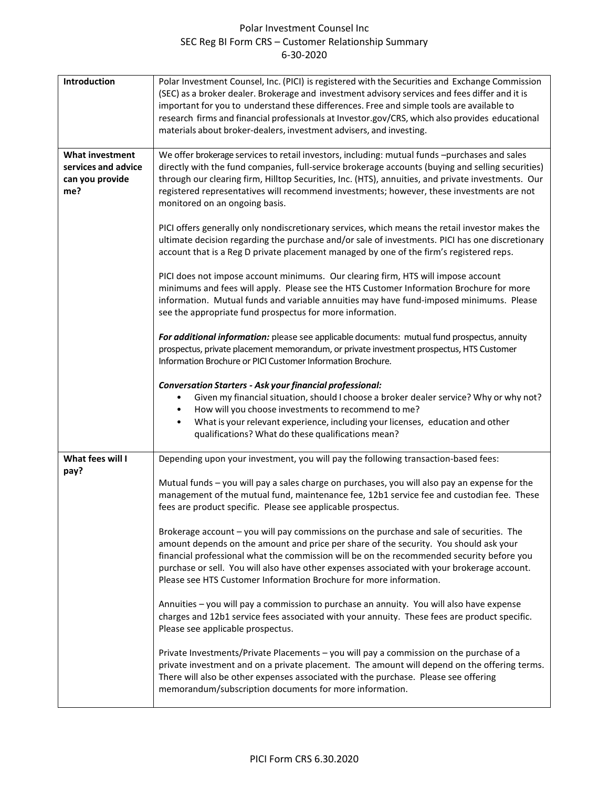## Polar Investment Counsel Inc SEC Reg BI Form CRS – Customer Relationship Summary 6-30-2020

| Introduction                                                            | Polar Investment Counsel, Inc. (PICI) is registered with the Securities and Exchange Commission<br>(SEC) as a broker dealer. Brokerage and investment advisory services and fees differ and it is<br>important for you to understand these differences. Free and simple tools are available to<br>research firms and financial professionals at Investor.gov/CRS, which also provides educational<br>materials about broker-dealers, investment advisers, and investing. |
|-------------------------------------------------------------------------|--------------------------------------------------------------------------------------------------------------------------------------------------------------------------------------------------------------------------------------------------------------------------------------------------------------------------------------------------------------------------------------------------------------------------------------------------------------------------|
| <b>What investment</b><br>services and advice<br>can you provide<br>me? | We offer brokerage services to retail investors, including: mutual funds -purchases and sales<br>directly with the fund companies, full-service brokerage accounts (buying and selling securities)<br>through our clearing firm, Hilltop Securities, Inc. (HTS), annuities, and private investments. Our<br>registered representatives will recommend investments; however, these investments are not<br>monitored on an ongoing basis.                                  |
|                                                                         | PICI offers generally only nondiscretionary services, which means the retail investor makes the<br>ultimate decision regarding the purchase and/or sale of investments. PICI has one discretionary<br>account that is a Reg D private placement managed by one of the firm's registered reps.                                                                                                                                                                            |
|                                                                         | PICI does not impose account minimums. Our clearing firm, HTS will impose account<br>minimums and fees will apply. Please see the HTS Customer Information Brochure for more<br>information. Mutual funds and variable annuities may have fund-imposed minimums. Please<br>see the appropriate fund prospectus for more information.                                                                                                                                     |
|                                                                         | For additional information: please see applicable documents: mutual fund prospectus, annuity<br>prospectus, private placement memorandum, or private investment prospectus, HTS Customer<br>Information Brochure or PICI Customer Information Brochure.                                                                                                                                                                                                                  |
|                                                                         | <b>Conversation Starters - Ask your financial professional:</b><br>Given my financial situation, should I choose a broker dealer service? Why or why not?<br>$\bullet$<br>How will you choose investments to recommend to me?<br>What is your relevant experience, including your licenses, education and other<br>$\bullet$<br>qualifications? What do these qualifications mean?                                                                                       |
| What fees will I<br>pay?                                                | Depending upon your investment, you will pay the following transaction-based fees:                                                                                                                                                                                                                                                                                                                                                                                       |
|                                                                         | Mutual funds - you will pay a sales charge on purchases, you will also pay an expense for the<br>management of the mutual fund, maintenance fee, 12b1 service fee and custodian fee. These<br>fees are product specific. Please see applicable prospectus.                                                                                                                                                                                                               |
|                                                                         | Brokerage account - you will pay commissions on the purchase and sale of securities. The<br>amount depends on the amount and price per share of the security. You should ask your<br>financial professional what the commission will be on the recommended security before you<br>purchase or sell. You will also have other expenses associated with your brokerage account.<br>Please see HTS Customer Information Brochure for more information.                      |
|                                                                         | Annuities - you will pay a commission to purchase an annuity. You will also have expense<br>charges and 12b1 service fees associated with your annuity. These fees are product specific.<br>Please see applicable prospectus.                                                                                                                                                                                                                                            |
|                                                                         | Private Investments/Private Placements - you will pay a commission on the purchase of a<br>private investment and on a private placement. The amount will depend on the offering terms.<br>There will also be other expenses associated with the purchase. Please see offering<br>memorandum/subscription documents for more information.                                                                                                                                |